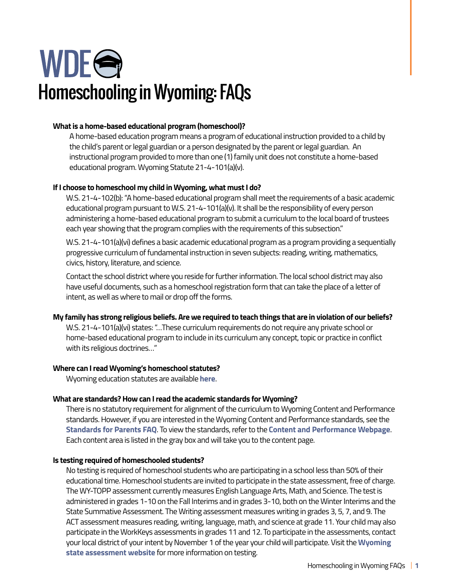# WDEG Homeschooling in Wyoming: FAQs

# **What is a home-based educational program (homeschool)?**

A home-based education program means a program of educational instruction provided to a child by the child's parent or legal guardian or a person designated by the parent or legal guardian. An instructional program provided to more than one (1) family unit does not constitute a home-based educational program. Wyoming Statute 21-4-101(a)(v).

# **If I choose to homeschool my child in Wyoming, what must I do?**

W.S. 21-4-102(b): "A home-based educational program shall meet the requirements of a basic academic educational program pursuant to W.S. 21-4-101(a)(v). It shall be the responsibility of every person administering a home-based educational program to submit a curriculum to the local board of trustees each year showing that the program complies with the requirements of this subsection."

W.S. 21-4-101(a)(vi) defines a basic academic educational program as a program providing a sequentially progressive curriculum of fundamental instruction in seven subjects: reading, writing, mathematics, civics, history, literature, and science.

Contact the school district where you reside for further information. The local school district may also have useful documents, such as a homeschool registration form that can take the place of a letter of intent, as well as where to mail or drop off the forms.

# **My family has strong religious beliefs. Are we required to teach things that are in violation of our beliefs?**

W.S. 21-4-101(a)(vi) states: "…These curriculum requirements do not require any private school or home-based educational program to include in its curriculum any concept, topic or practice in conflict with its religious doctrines…"

# **Where can I read Wyoming's homeschool statutes?**

Wyoming education statutes are available **[here](https://wyoleg.gov/statutes/compress/title21.pdf)**.

# **What are standards? How can I read the academic standards for Wyoming?**

 Each content area is listed in the gray box and will take you to the content page. There is no statutory requirement for alignment of the curriculum to Wyoming Content and Performance standards. However, if you are interested in the Wyoming Content and Performance standards, see the **[Standards for Parents FAQ](https://edu.wyoming.gov/wp-content/uploads/2021/08/2021-FAQ-Standards-for-Parents-1.pdf)**. To view the standards, refer to the **[Content and Performance Webpage](https://edu.wyoming.gov/for-district-leadership/standards/)**.

# **Is testing required of homeschooled students?**

No testing is required of homeschool students who are participating in a school less than 50% of their educational time. Homeschool students are invited to participate in the state assessment, free of charge. The WY-TOPP assessment currently measures English Language Arts, Math, and Science. The test is administered in grades 1-10 on the Fall Interims and in grades 3-10, both on the Winter Interims and the State Summative Assessment. The Writing assessment measures writing in grades 3, 5, 7, and 9. The ACT assessment measures reading, writing, language, math, and science at grade 11. Your child may also participate in the WorkKeys assessments in grades 11 and 12. To participate in the assessments, contact your local district of your intent by November 1 of the year your child will participate. Visit the **[Wyoming](https://edu.wyoming.gov/for-district-leadership/state-assessment/)  [state assessment website](https://edu.wyoming.gov/for-district-leadership/state-assessment/)** for more information on testing.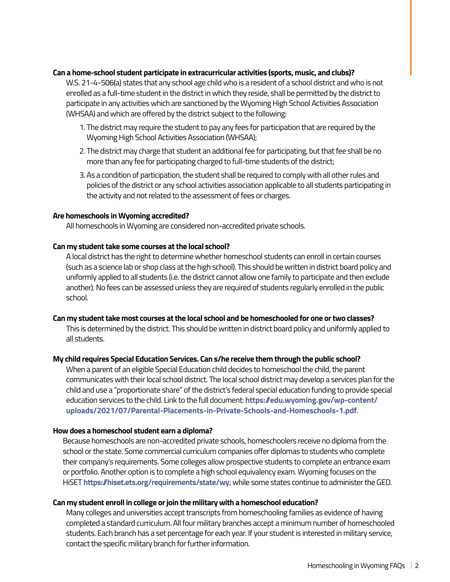#### **Can a home-school student participate in extracurricular activities (sports, music, and clubs)?**

W.S. 21-4-506(a) states that any school age child who is a resident of a school district and who is not enrolled as a full-time student in the district in which they reside, shall be permitted by the district to participate in any activities which are sanctioned by the Wyoming High School Activities Association (WHSAA) and which are offered by the district subject to the following:

- 1. The district may require the student to pay any fees for participation that are required by the Wyoming High School Activities Association (WHSAA);
- 2. The district may charge that student an additional fee for participating, but that fee shall be no more than any fee for participating charged to full-time students of the district;
- 3. As a condition of participation, the student shall be required to comply with all other rules and policies of the district or any school activities association applicable to all students participating in the activity and not related to the assessment of fees or charges.

#### **Are homeschools in Wyoming accredited?**

All homeschools in Wyoming are considered non-accredited private schools.

#### **Can my student take some courses at the local school?**

A local district has the right to determine whether homeschool students can enroll in certain courses (such as a science lab or shop class at the high school). This should be written in district board policy and uniformly applied to all students (i.e. the district cannot allow one family to participate and then exclude another). No fees can be assessed unless they are required of students regularly enrolled in the public school.

#### **Can my student take most courses at the local school and be homeschooled for one or two classes?**

This is determined by the district. This should be written in district board policy and uniformly applied to all students.

#### **My child requires Special Education Services. Can s/he receive them through the public school?**

When a parent of an eligible Special Education child decides to homeschool the child, the parent communicates with their local school district. The local school district may develop a services plan for the child and use a "proportionate share" of the district's federal special education funding to provide special education services to the child. Link to the full document: **[https://edu.wyoming.gov/wp-content/](https://edu.wyoming.gov/wp-content/uploads/2021/07/Parental-Placements-in-Private-Schools-and-Homesc) [uploads/2021/07/Parental-Placements-in-Private-Schools-and-Homeschools-1.pdf](https://edu.wyoming.gov/wp-content/uploads/2021/07/Parental-Placements-in-Private-Schools-and-Homesc)**.

#### **How does a homeschool student earn a diploma?**

Because homeschools are non-accredited private schools, homeschoolers receive no diploma from the school or the state. Some commercial curriculum companies offer diplomas to students who complete their company's requirements. Some colleges allow prospective students to complete an entrance exam or portfolio. Another option is to complete a high school equivalency exam. Wyoming focuses on the HiSET **<https://hiset.ets.org/requirements/state/wy>**; while some states continue to administer the GED.

#### **Can my student enroll in college or join the military with a homeschool education?**

Many colleges and universities accept transcripts from homeschooling families as evidence of having completed a standard curriculum. All four military branches accept a minimum number of homeschooled students. Each branch has a set percentage for each year. If your student is interested in military service, contact the specific military branch for further information.